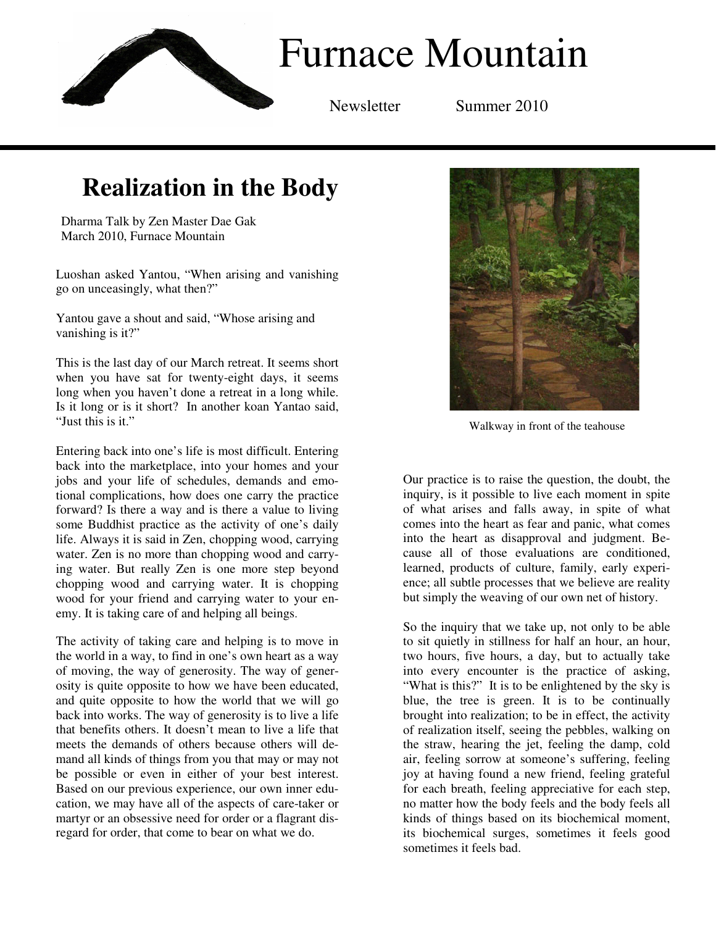

## **Realization in the Body**

Dharma Talk by Zen Master Dae Gak March 2010, Furnace Mountain

Luoshan asked Yantou, "When arising and vanishing go on unceasingly, what then?"

Yantou gave a shout and said, "Whose arising and vanishing is it?"

This is the last day of our March retreat. It seems short when you have sat for twenty-eight days, it seems long when you haven't done a retreat in a long while. Is it long or is it short? In another koan Yantao said, "Just this is it."

Entering back into one's life is most difficult. Entering back into the marketplace, into your homes and your jobs and your life of schedules, demands and emotional complications, how does one carry the practice forward? Is there a way and is there a value to living some Buddhist practice as the activity of one's daily life. Always it is said in Zen, chopping wood, carrying water. Zen is no more than chopping wood and carrying water. But really Zen is one more step beyond chopping wood and carrying water. It is chopping wood for your friend and carrying water to your enemy. It is taking care of and helping all beings.

The activity of taking care and helping is to move in the world in a way, to find in one's own heart as a way of moving, the way of generosity. The way of generosity is quite opposite to how we have been educated, and quite opposite to how the world that we will go back into works. The way of generosity is to live a life that benefits others. It doesn't mean to live a life that meets the demands of others because others will demand all kinds of things from you that may or may not be possible or even in either of your best interest. Based on our previous experience, our own inner education, we may have all of the aspects of care-taker or martyr or an obsessive need for order or a flagrant disregard for order, that come to bear on what we do.



Walkway in front of the teahouse

Our practice is to raise the question, the doubt, the inquiry, is it possible to live each moment in spite of what arises and falls away, in spite of what comes into the heart as fear and panic, what comes into the heart as disapproval and judgment. Because all of those evaluations are conditioned, learned, products of culture, family, early experience; all subtle processes that we believe are reality but simply the weaving of our own net of history.

So the inquiry that we take up, not only to be able to sit quietly in stillness for half an hour, an hour, two hours, five hours, a day, but to actually take into every encounter is the practice of asking, "What is this?" It is to be enlightened by the sky is blue, the tree is green. It is to be continually brought into realization; to be in effect, the activity of realization itself, seeing the pebbles, walking on the straw, hearing the jet, feeling the damp, cold air, feeling sorrow at someone's suffering, feeling joy at having found a new friend, feeling grateful for each breath, feeling appreciative for each step, no matter how the body feels and the body feels all kinds of things based on its biochemical moment, its biochemical surges, sometimes it feels good sometimes it feels bad.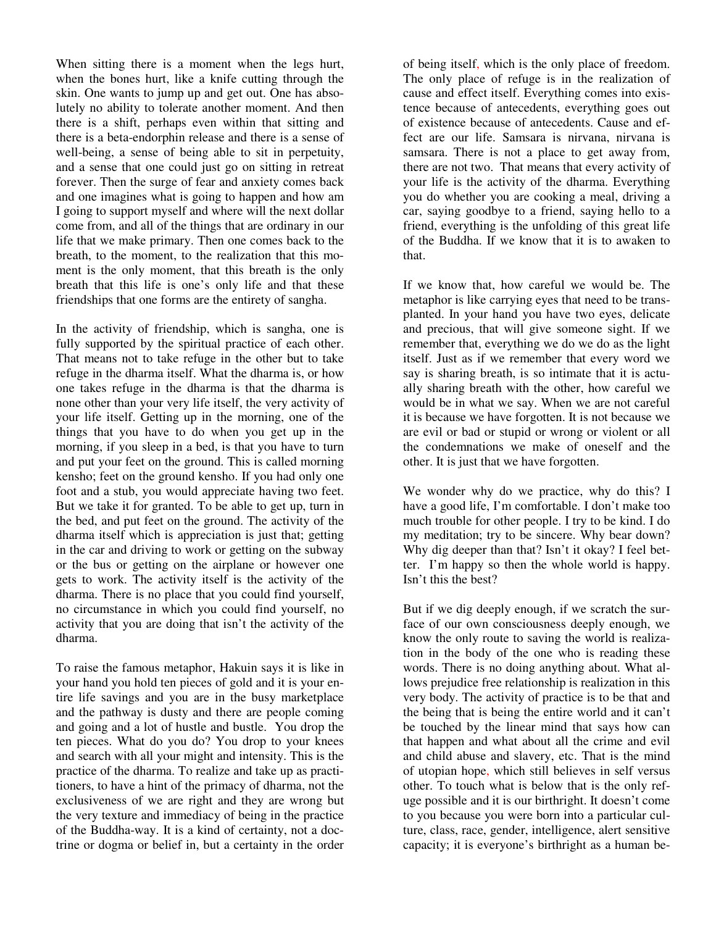When sitting there is a moment when the legs hurt, when the bones hurt, like a knife cutting through the skin. One wants to jump up and get out. One has absolutely no ability to tolerate another moment. And then there is a shift, perhaps even within that sitting and there is a beta-endorphin release and there is a sense of well-being, a sense of being able to sit in perpetuity, and a sense that one could just go on sitting in retreat forever. Then the surge of fear and anxiety comes back and one imagines what is going to happen and how am I going to support myself and where will the next dollar come from, and all of the things that are ordinary in our life that we make primary. Then one comes back to the breath, to the moment, to the realization that this moment is the only moment, that this breath is the only breath that this life is one's only life and that these friendships that one forms are the entirety of sangha.

In the activity of friendship, which is sangha, one is fully supported by the spiritual practice of each other. That means not to take refuge in the other but to take refuge in the dharma itself. What the dharma is, or how one takes refuge in the dharma is that the dharma is none other than your very life itself, the very activity of your life itself. Getting up in the morning, one of the things that you have to do when you get up in the morning, if you sleep in a bed, is that you have to turn and put your feet on the ground. This is called morning kensho; feet on the ground kensho. If you had only one foot and a stub, you would appreciate having two feet. But we take it for granted. To be able to get up, turn in the bed, and put feet on the ground. The activity of the dharma itself which is appreciation is just that; getting in the car and driving to work or getting on the subway or the bus or getting on the airplane or however one gets to work. The activity itself is the activity of the dharma. There is no place that you could find yourself, no circumstance in which you could find yourself, no activity that you are doing that isn't the activity of the dharma.

To raise the famous metaphor, Hakuin says it is like in your hand you hold ten pieces of gold and it is your entire life savings and you are in the busy marketplace and the pathway is dusty and there are people coming and going and a lot of hustle and bustle. You drop the ten pieces. What do you do? You drop to your knees and search with all your might and intensity. This is the practice of the dharma. To realize and take up as practitioners, to have a hint of the primacy of dharma, not the exclusiveness of we are right and they are wrong but the very texture and immediacy of being in the practice of the Buddha-way. It is a kind of certainty, not a doctrine or dogma or belief in, but a certainty in the order

of being itself, which is the only place of freedom. The only place of refuge is in the realization of cause and effect itself. Everything comes into existence because of antecedents, everything goes out of existence because of antecedents. Cause and effect are our life. Samsara is nirvana, nirvana is samsara. There is not a place to get away from, there are not two. That means that every activity of your life is the activity of the dharma. Everything you do whether you are cooking a meal, driving a car, saying goodbye to a friend, saying hello to a friend, everything is the unfolding of this great life of the Buddha. If we know that it is to awaken to that.

If we know that, how careful we would be. The metaphor is like carrying eyes that need to be transplanted. In your hand you have two eyes, delicate and precious, that will give someone sight. If we remember that, everything we do we do as the light itself. Just as if we remember that every word we say is sharing breath, is so intimate that it is actually sharing breath with the other, how careful we would be in what we say. When we are not careful it is because we have forgotten. It is not because we are evil or bad or stupid or wrong or violent or all the condemnations we make of oneself and the other. It is just that we have forgotten.

We wonder why do we practice, why do this? I have a good life, I'm comfortable. I don't make too much trouble for other people. I try to be kind. I do my meditation; try to be sincere. Why bear down? Why dig deeper than that? Isn't it okay? I feel better. I'm happy so then the whole world is happy. Isn't this the best?

But if we dig deeply enough, if we scratch the surface of our own consciousness deeply enough, we know the only route to saving the world is realization in the body of the one who is reading these words. There is no doing anything about. What allows prejudice free relationship is realization in this very body. The activity of practice is to be that and the being that is being the entire world and it can't be touched by the linear mind that says how can that happen and what about all the crime and evil and child abuse and slavery, etc. That is the mind of utopian hope, which still believes in self versus other. To touch what is below that is the only refuge possible and it is our birthright. It doesn't come to you because you were born into a particular culture, class, race, gender, intelligence, alert sensitive capacity; it is everyone's birthright as a human be-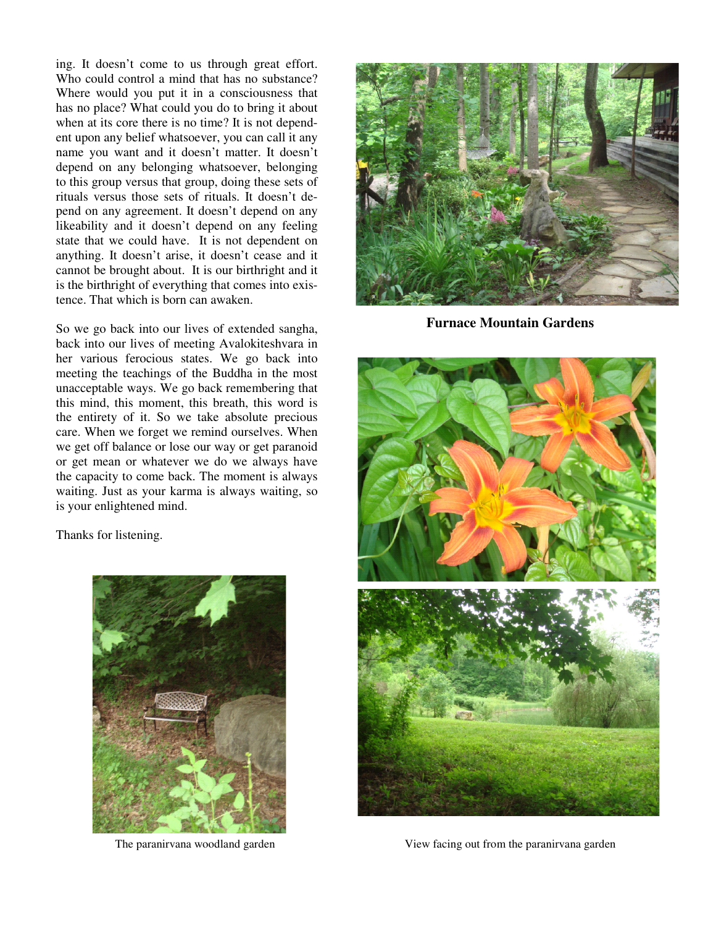ing. It doesn't come to us through great effort. Who could control a mind that has no substance? Where would you put it in a consciousness that has no place? What could you do to bring it about when at its core there is no time? It is not dependent upon any belief whatsoever, you can call it any name you want and it doesn't matter. It doesn't depend on any belonging whatsoever, belonging to this group versus that group, doing these sets of rituals versus those sets of rituals. It doesn't depend on any agreement. It doesn't depend on any likeability and it doesn't depend on any feeling state that we could have. It is not dependent on anything. It doesn't arise, it doesn't cease and it cannot be brought about. It is our birthright and it is the birthright of everything that comes into existence. That which is born can awaken.

So we go back into our lives of extended sangha, back into our lives of meeting Avalokiteshvara in her various ferocious states. We go back into meeting the teachings of the Buddha in the most unacceptable ways. We go back remembering that this mind, this moment, this breath, this word is the entirety of it. So we take absolute precious care. When we forget we remind ourselves. When we get off balance or lose our way or get paranoid or get mean or whatever we do we always have the capacity to come back. The moment is always waiting. Just as your karma is always waiting, so is your enlightened mind.

Thanks for listening.





**Furnace Mountain Gardens** 



The paranirvana woodland garden View facing out from the paranirvana garden